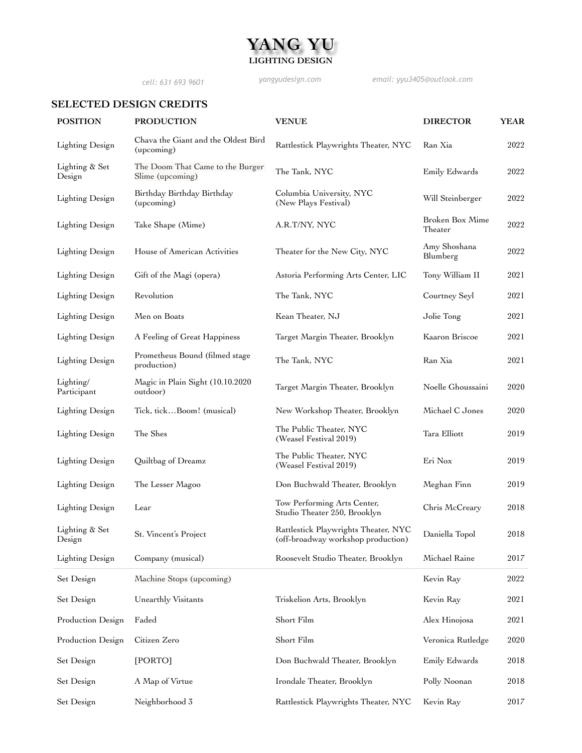# **YANG YU LIGHTING DESIGN**

*cell: 631 693 9601 yangyudesign.com email: yyu3405@outlook.com*

## **SELECTED DESIGN CREDITS**

| <b>POSITION</b>          | <b>PRODUCTION</b>                                    | <b>VENUE</b>                                                               | <b>DIRECTOR</b>            | <b>YEAR</b> |
|--------------------------|------------------------------------------------------|----------------------------------------------------------------------------|----------------------------|-------------|
| Lighting Design          | Chava the Giant and the Oldest Bird<br>(upcoming)    | Rattlestick Playwrights Theater, NYC                                       | Ran Xia                    | 2022        |
| Lighting & Set<br>Design | The Doom That Came to the Burger<br>Slime (upcoming) | The Tank, NYC                                                              | Emily Edwards              | 2022        |
| Lighting Design          | Birthday Birthday Birthday<br>(upcoming)             | Columbia University, NYC<br>(New Plays Festival)                           | Will Steinberger           | 2022        |
| Lighting Design          | Take Shape (Mime)                                    | A.R.T/NY, NYC                                                              | Broken Box Mime<br>Theater | 2022        |
| Lighting Design          | House of American Activities                         | Theater for the New City, NYC                                              | Amy Shoshana<br>Blumberg   | 2022        |
| <b>Lighting Design</b>   | Gift of the Magi (opera)                             | Astoria Performing Arts Center, LIC                                        | Tony William II            | 2021        |
| Lighting Design          | Revolution                                           | The Tank, NYC                                                              | Courtney Seyl              | 2021        |
| <b>Lighting Design</b>   | Men on Boats                                         | Kean Theater, NJ                                                           | Jolie Tong                 | 2021        |
| <b>Lighting Design</b>   | A Feeling of Great Happiness                         | Target Margin Theater, Brooklyn                                            | Kaaron Briscoe             | 2021        |
| Lighting Design          | Prometheus Bound (filmed stage<br>production)        | The Tank, NYC                                                              | Ran Xia                    | 2021        |
| Lighting/<br>Participant | Magic in Plain Sight (10.10.2020<br>outdoor)         | Target Margin Theater, Brooklyn                                            | Noelle Ghoussaini          | 2020        |
| Lighting Design          | Tick, tickBoom! (musical)                            | New Workshop Theater, Brooklyn                                             | Michael C Jones            | 2020        |
| Lighting Design          | The Shes                                             | The Public Theater, NYC<br>(Weasel Festival 2019)                          | Tara Elliott               | 2019        |
| <b>Lighting Design</b>   | Quiltbag of Dreamz                                   | The Public Theater, NYC<br>(Weasel Festival 2019)                          | Eri Nox                    | 2019        |
| Lighting Design          | The Lesser Magoo                                     | Don Buchwald Theater, Brooklyn                                             | Meghan Finn                | 2019        |
| Lighting Design          | Lear                                                 | Tow Performing Arts Center,<br>Studio Theater 250, Brooklyn                | Chris McCreary             | 2018        |
| Lighting & Set<br>Design | St. Vincent's Project                                | Rattlestick Playwrights Theater, NYC<br>(off-broadway workshop production) | Daniella Topol             | 2018        |
| Lighting Design          | Company (musical)                                    | Roosevelt Studio Theater, Brooklyn                                         | Michael Raine              | 2017        |
| Set Design               | Machine Stops (upcoming)                             |                                                                            | Kevin Ray                  | 2022        |
| Set Design               | Unearthly Visitants                                  | Triskelion Arts, Brooklyn                                                  | Kevin Ray                  | 2021        |
| Production Design        | Faded                                                | Short Film                                                                 | Alex Hinojosa              | $2021\,$    |
| Production Design        | Citizen Zero                                         | Short Film                                                                 | Veronica Rutledge          | 2020        |
| Set Design               | [PORTO]                                              | Don Buchwald Theater, Brooklyn                                             | Emily Edwards              | 2018        |
| Set Design               | A Map of Virtue                                      | Irondale Theater, Brooklyn                                                 | Polly Noonan               | 2018        |
| Set Design               | Neighborhood 3                                       | Rattlestick Playwrights Theater, NYC                                       | Kevin Ray                  | $2017\,$    |